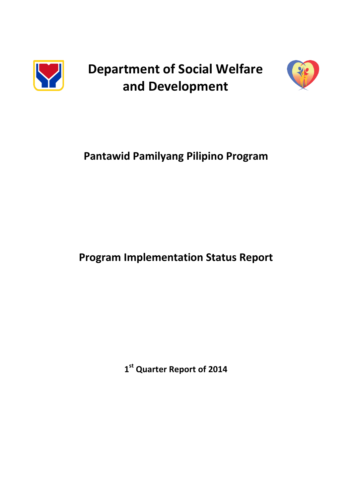

**Department of Social Welfare and Development**



# **Pantawid Pamilyang Pilipino Program**

# **Program Implementation Status Report**

**1 st Quarter Report of 2014**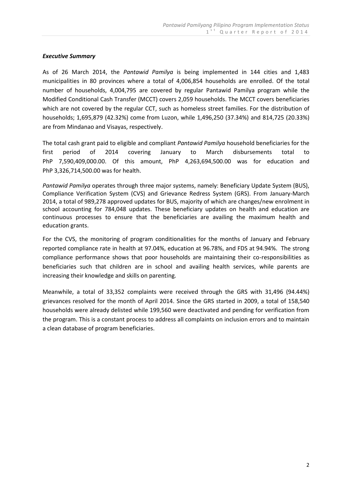#### *Executive Summary*

As of 26 March 2014, the *Pantawid Pamilya* is being implemented in 144 cities and 1,483 municipalities in 80 provinces where a total of 4,006,854 households are enrolled. Of the total number of households, 4,004,795 are covered by regular Pantawid Pamilya program while the Modified Conditional Cash Transfer (MCCT) covers 2,059 households. The MCCT covers beneficiaries which are not covered by the regular CCT, such as homeless street families. For the distribution of households; 1,695,879 (42.32%) come from Luzon, while 1,496,250 (37.34%) and 814,725 (20.33%) are from Mindanao and Visayas, respectively.

The total cash grant paid to eligible and compliant *Pantawid Pamilya* household beneficiaries for the first period of 2014 covering January to March disbursements total to PhP 7,590,409,000.00. Of this amount, PhP 4,263,694,500.00 was for education and PhP 3,326,714,500.00 was for health.

*Pantawid Pamilya* operates through three major systems, namely: Beneficiary Update System (BUS), Compliance Verification System (CVS) and Grievance Redress System (GRS). From January-March 2014, a total of 989,278 approved updates for BUS, majority of which are changes/new enrolment in school accounting for 784,048 updates. These beneficiary updates on health and education are continuous processes to ensure that the beneficiaries are availing the maximum health and education grants.

For the CVS, the monitoring of program conditionalities for the months of January and February reported compliance rate in health at 97.04%, education at 96.78%, and FDS at 94.94%. The strong compliance performance shows that poor households are maintaining their co-responsibilities as beneficiaries such that children are in school and availing health services, while parents are increasing their knowledge and skills on parenting.

Meanwhile, a total of 33,352 complaints were received through the GRS with 31,496 (94.44%) grievances resolved for the month of April 2014. Since the GRS started in 2009, a total of 158,540 households were already delisted while 199,560 were deactivated and pending for verification from the program. This is a constant process to address all complaints on inclusion errors and to maintain a clean database of program beneficiaries.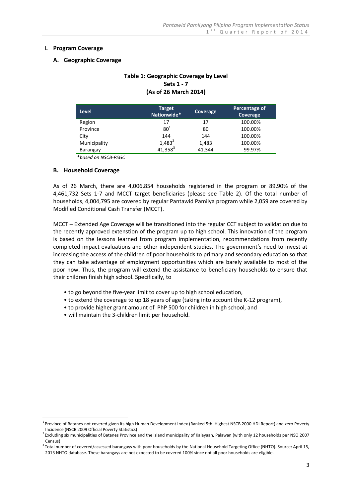#### **I. Program Coverage**

#### **A. Geographic Coverage**

## **Table 1: Geographic Coverage by Level Sets 1 - 7 (As of 26 March 2014)**

| <b>Level</b> | <b>Target</b><br>Nationwide* | Coverage | Percentage of<br>Coverage |
|--------------|------------------------------|----------|---------------------------|
| Region       | 17                           | 17       | 100.00%                   |
| Province     | 80 <sup>1</sup>              | 80       | 100.00%                   |
| City         | 144                          | 144      | 100.00%                   |
| Municipality | $1,483^2$                    | 1,483    | 100.00%                   |
| Barangay     | $41,358^3$                   | 41,344   | 99.97%                    |

\**based on NSCB-PSGC*

#### **B. Household Coverage**

<u>.</u>

As of 26 March, there are 4,006,854 households registered in the program or 89.90% of the 4,461,732 Sets 1-7 and MCCT target beneficiaries (please see Table 2). Of the total number of households, 4,004,795 are covered by regular Pantawid Pamilya program while 2,059 are covered by Modified Conditional Cash Transfer (MCCT).

MCCT – Extended Age Coverage will be transitioned into the regular CCT subject to validation due to the recently approved extenstion of the program up to high school. This innovation of the program is based on the lessons learned from program implementation, recommendations from recently completed impact evaluations and other independent studies. The government's need to invest at increasing the access of the children of poor households to primary and secondary education so that they can take advantage of employment opportunities which are barely available to most of the poor now. Thus, the program will extend the assistance to beneficiary households to ensure that their children finish high school. Specifically, to

- to go beyond the five-year limit to cover up to high school education,
- to extend the coverage to up 18 years of age (taking into account the K-12 program),
- to provide higher grant amount of PhP 500 for children in high school, and
- will maintain the 3-children limit per household.

<sup>&</sup>lt;sup>1</sup> Province of Batanes not covered given its high Human Development Index (Ranked 5th Highest NSCB 2000 HDI Report) and zero Poverty Incidence (NSCB 2009 Official Poverty Statistics)

<sup>&</sup>lt;sup>2</sup> Excluding six municipalities of Batanes Province and the island municipality of Kalayaan, Palawan (with only 12 households per NSO 2007 Census)

<sup>&</sup>lt;sup>3</sup> Total number of covered/assessed barangays with poor households by the National Household Targeting Office (NHTO). Source: April 15, 2013 NHTO database. These barangays are not expected to be covered 100% since not all poor households are eligible.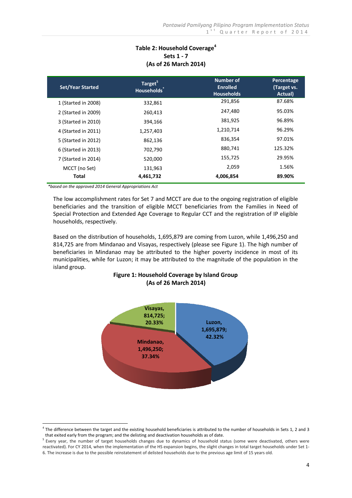# **Table 2: Household Coverage<sup>4</sup> Sets 1 - 7 (As of 26 March 2014)**

| <b>Set/Year Started</b> | Target <sup>5</sup><br>Households <sup>®</sup> | <b>Number of</b><br><b>Enrolled</b><br><b>Households</b> | Percentage<br>(Target vs.<br>Actual) |
|-------------------------|------------------------------------------------|----------------------------------------------------------|--------------------------------------|
| 1 (Started in 2008)     | 332,861                                        | 291,856                                                  | 87.68%                               |
| 2 (Started in 2009)     | 260,413                                        | 247,480                                                  | 95.03%                               |
| 3 (Started in 2010)     | 394,166                                        | 381,925                                                  | 96.89%                               |
| 4 (Started in 2011)     | 1,257,403                                      | 1,210,714                                                | 96.29%                               |
| 5 (Started in 2012)     | 862,136                                        | 836,354                                                  | 97.01%                               |
| 6 (Started in 2013)     | 702,790                                        | 880,741                                                  | 125.32%                              |
| 7 (Started in 2014)     | 520,000                                        | 155,725                                                  | 29.95%                               |
| MCCT (no Set)           | 131,963                                        | 2,059                                                    | 1.56%                                |
| Total                   | 4,461,732                                      | 4,006,854                                                | 89.90%                               |

*\*based on the approved 2014 General Appropriations Act*

<u>.</u>

The low accomplishment rates for Set 7 and MCCT are due to the ongoing registration of eligible beneficiaries and the transition of eligible MCCT beneficiaries from the Families in Need of Special Protection and Extended Age Coverage to Regular CCT and the registration of IP eligible households, respectively.

Based on the distribution of households, 1,695,879 are coming from Luzon, while 1,496,250 and 814,725 are from Mindanao and Visayas, respectively (please see Figure 1). The high number of beneficiaries in Mindanao may be attributed to the higher poverty incidence in most of its municipalities, while for Luzon; it may be attributed to the magnitude of the population in the island group.

# **Figure 1: Household Coverage by Island Group (As of 26 March 2014)**



 $<sup>4</sup>$  The difference between the target and the existing household beneficiaries is attributed to the number of households in Sets 1, 2 and 3</sup> that exited early from the program; and the delisting and deactivation households as of date.

<sup>&</sup>lt;sup>5</sup> Every year, the number of target households changes due to dynamics of household status (some were deactivated, others were reactivated). For CY 2014, when the implementation of the HS expansion begins, the slight changes in total target households under Set 1- 6. The increase is due to the possible reinstatement of delisted households due to the previous age limit of 15 years old.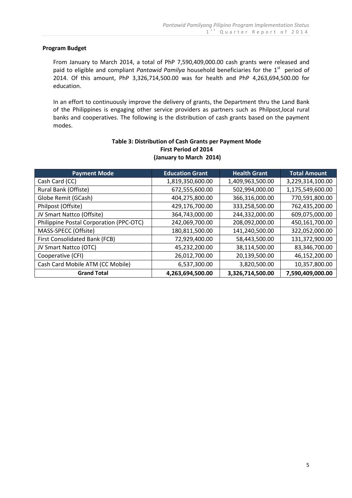#### **Program Budget**

From January to March 2014, a total of PhP 7,590,409,000.00 cash grants were released and paid to eligible and compliant Pantawid Pamilya household beneficiaries for the 1<sup>st</sup> period of 2014. Of this amount, PhP 3,326,714,500.00 was for health and PhP 4,263,694,500.00 for education.

In an effort to continuously improve the delivery of grants, the Department thru the Land Bank of the Philippines is engaging other service providers as partners such as Philpost,local rural banks and cooperatives. The following is the distribution of cash grants based on the payment modes.

| <b>Payment Mode</b>                     | <b>Education Grant</b> | <b>Health Grant</b> | <b>Total Amount</b> |
|-----------------------------------------|------------------------|---------------------|---------------------|
| Cash Card (CC)                          | 1,819,350,600.00       | 1,409,963,500.00    | 3,229,314,100.00    |
| Rural Bank (Offiste)                    | 672,555,600.00         | 502,994,000.00      | 1,175,549,600.00    |
| Globe Remit (GCash)                     | 404,275,800.00         | 366,316,000.00      | 770,591,800.00      |
| Philpost (Offsite)                      | 429,176,700.00         | 333,258,500.00      | 762,435,200.00      |
| JV Smart Nattco (Offsite)               | 364,743,000.00         | 244,332,000.00      | 609,075,000.00      |
| Philippine Postal Corporation (PPC-OTC) | 242,069,700.00         | 208,092,000.00      | 450,161,700.00      |
| MASS-SPECC (Offsite)                    | 180,811,500.00         | 141,240,500.00      | 322,052,000.00      |
| First Consolidated Bank (FCB)           | 72,929,400.00          | 58,443,500.00       | 131,372,900.00      |
| JV Smart Nattco (OTC)                   | 45,232,200.00          | 38,114,500.00       | 83,346,700.00       |
| Cooperative (CFI)                       | 26,012,700.00          | 20,139,500.00       | 46,152,200.00       |
| Cash Card Mobile ATM (CC Mobile)        | 6,537,300.00           | 3,820,500.00        | 10,357,800.00       |
| <b>Grand Total</b>                      | 4,263,694,500.00       | 3,326,714,500.00    | 7,590,409,000.00    |

#### **Table 3: Distribution of Cash Grants per Payment Mode First Period of 2014 (January to March 2014)**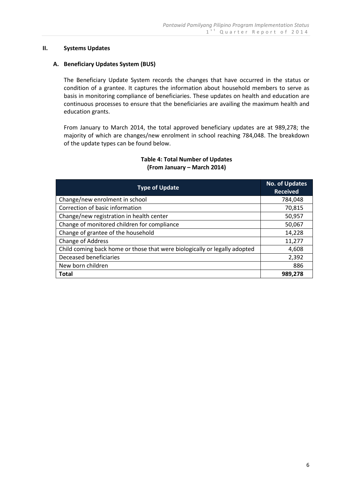#### **II. Systems Updates**

#### **A. Beneficiary Updates System (BUS)**

The Beneficiary Update System records the changes that have occurred in the status or condition of a grantee. It captures the information about household members to serve as basis in monitoring compliance of beneficiaries. These updates on health and education are continuous processes to ensure that the beneficiaries are availing the maximum health and education grants.

From January to March 2014, the total approved beneficiary updates are at 989,278; the majority of which are changes/new enrolment in school reaching 784,048. The breakdown of the update types can be found below.

#### **Table 4: Total Number of Updates (From January – March 2014)**

| <b>Type of Update</b>                                                     | <b>No. of Updates</b><br><b>Received</b> |
|---------------------------------------------------------------------------|------------------------------------------|
| Change/new enrolment in school                                            | 784,048                                  |
| Correction of basic information                                           | 70,815                                   |
| Change/new registration in health center                                  | 50,957                                   |
| Change of monitored children for compliance                               | 50,067                                   |
| Change of grantee of the household                                        | 14,228                                   |
| Change of Address                                                         | 11,277                                   |
| Child coming back home or those that were biologically or legally adopted | 4,608                                    |
| Deceased beneficiaries                                                    | 2,392                                    |
| New born children                                                         | 886                                      |
| <b>Total</b>                                                              | 989,278                                  |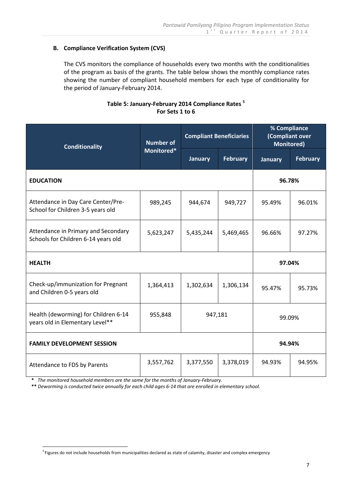## **B. Compliance Verification System (CVS)**

The CVS monitors the compliance of households every two months with the conditionalities of the program as basis of the grants. The table below shows the monthly compliance rates showing the number of compliant household members for each type of conditionality for the period of January-February 2014.

# **Table 5: January-February 2014 Compliance Rates <sup>5</sup> For Sets 1 to 6**

| <b>Conditionality</b>                                                      | <b>Number of</b> | <b>Compliant Beneficiaries</b> |                 | % Compliance<br>(Compliant over<br><b>Monitored)</b> |                 |
|----------------------------------------------------------------------------|------------------|--------------------------------|-----------------|------------------------------------------------------|-----------------|
|                                                                            | Monitored*       | <b>January</b>                 | <b>February</b> | <b>January</b>                                       | <b>February</b> |
| <b>EDUCATION</b>                                                           |                  |                                |                 | 96.78%                                               |                 |
| Attendance in Day Care Center/Pre-<br>School for Children 3-5 years old    | 989,245          | 944,674                        | 949,727         | 95.49%                                               | 96.01%          |
| Attendance in Primary and Secondary<br>Schools for Children 6-14 years old | 5,623,247        | 5,435,244                      | 5,469,465       | 96.66%                                               | 97.27%          |
| <b>HEALTH</b>                                                              |                  |                                |                 | 97.04%                                               |                 |
| Check-up/immunization for Pregnant<br>and Children 0-5 years old           | 1,364,413        | 1,302,634                      | 1,306,134       | 95.47%                                               | 95.73%          |
| Health (deworming) for Children 6-14<br>years old in Elementary Level**    | 955,848          | 947,181                        |                 | 99.09%                                               |                 |
| <b>FAMILY DEVELOPMENT SESSION</b>                                          |                  |                                |                 | 94.94%                                               |                 |
| Attendance to FDS by Parents                                               | 3,557,762        | 3,377,550                      | 3,378,019       | 94.93%                                               | 94.95%          |

 **\*** *The monitored household members are the same for the months of January-February.*

 **\*\*** *Deworming is conducted twice annually for each child ages 6-14 that are enrolled in elementary school.*

 5 Figures do not include households from municipalities declared as state of calamity, disaster and complex emergency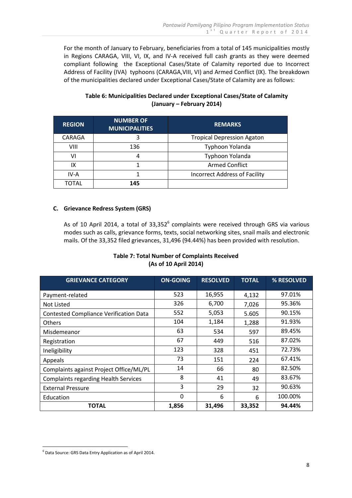For the month of January to February, beneficiaries from a total of 145 municipalities mostly in Regions CARAGA, VIII, VI, IX, and IV-A received full cash grants as they were deemed compliant following the Exceptional Cases/State of Calamity reported due to Incorrect Address of Facility (IVA) typhoons (CARAGA,VIII, VI) and Armed Conflict (IX). The breakdown of the municipalities declared under Exceptional Cases/State of Calamity are as follows:

#### **Table 6: Municipalities Declared under Exceptional Cases/State of Calamity (January – February 2014)**

| <b>REGION</b> | <b>NUMBER OF</b><br><b>MUNICIPALITIES</b> | <b>REMARKS</b>                    |
|---------------|-------------------------------------------|-----------------------------------|
| CARAGA        | 3                                         | <b>Tropical Depression Agaton</b> |
| VIII          | 136                                       | Typhoon Yolanda                   |
| ۷ı            |                                           | Typhoon Yolanda                   |
| IX            |                                           | <b>Armed Conflict</b>             |
| IV-A          |                                           | Incorrect Address of Facility     |
| <b>TOTAL</b>  | 145                                       |                                   |

#### **C. Grievance Redress System (GRS)**

As of 10 April 2014, a total of  $33,352^6$  complaints were received through GRS via various modes such as calls, grievance forms, texts, social networking sites, snail mails and electronic mails. Of the 33,352 filed grievances, 31,496 (94.44%) has been provided with resolution.

## **Table 7: Total Number of Complaints Received (As of 10 April 2014)**

| <b>GRIEVANCE CATEGORY</b>                     | <b>ON-GOING</b> | <b>RESOLVED</b> | <b>TOTAL</b> | % RESOLVED |
|-----------------------------------------------|-----------------|-----------------|--------------|------------|
| Payment-related                               | 523             | 16,955          | 4,132        | 97.01%     |
| Not Listed                                    | 326             | 6,700           | 7,026        | 95.36%     |
| <b>Contested Compliance Verification Data</b> | 552             | 5,053           | 5.605        | 90.15%     |
| <b>Others</b>                                 | 104             | 1,184           | 1,288        | 91.93%     |
| Misdemeanor                                   | 63              | 534             | 597          | 89.45%     |
| Registration                                  | 67              | 449             | 516          | 87.02%     |
| Ineligibility                                 | 123             | 328             | 451          | 72.73%     |
| Appeals                                       | 73              | 151             | 224          | 67.41%     |
| Complaints against Project Office/ML/PL       | 14              | 66              | 80           | 82.50%     |
| <b>Complaints regarding Health Services</b>   | 8               | 41              | 49           | 83.67%     |
| <b>External Pressure</b>                      | 3               | 29              | 32           | 90.63%     |
| Education                                     | $\Omega$        | 6               | 6            | 100.00%    |
| <b>TOTAL</b>                                  | 1,856           | 31,496          | 33,352       | 94.44%     |

<sup>&</sup>lt;u>.</u> 6 Data Source: GRS Data Entry Application as of April 2014.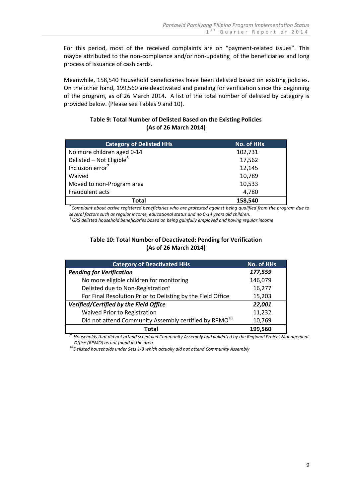For this period, most of the received complaints are on "payment-related issues". This maybe attributed to the non-compliance and/or non-updating of the beneficiaries and long process of issuance of cash cards.

Meanwhile, 158,540 household beneficiaries have been delisted based on existing policies. On the other hand, 199,560 are deactivated and pending for verification since the beginning of the program, as of 26 March 2014. A list of the total number of delisted by category is provided below. (Please see Tables 9 and 10).

## **Table 9: Total Number of Delisted Based on the Existing Policies (As of 26 March 2014)**

| <b>Category of Delisted HHs</b>      | No. of HHs |
|--------------------------------------|------------|
| No more children aged 0-14           | 102,731    |
| Delisted – Not Eligible <sup>8</sup> | 17,562     |
| Inclusion error <sup>7</sup>         | 12,145     |
| Waived                               | 10,789     |
| Moved to non-Program area            | 10,533     |
| Fraudulent acts                      | 4,780      |
| Total                                | 158,540    |

*<sup>7</sup>Complaint about active registered beneficiaries who are protested against being qualified from the program due to several factors such as regular income, educational status and no 0-14 years old children.*

*<sup>8</sup>GRS delisted household beneficiaries based on being gainfully employed and having regular income*

## **Table 10: Total Number of Deactivated: Pending for Verification (As of 26 March 2014)**

| <b>Category of Deactivated HHs</b>                                | <b>No. of HHs</b> |
|-------------------------------------------------------------------|-------------------|
| <b>Pending for Verification</b>                                   | 177,559           |
| No more eligible children for monitoring                          | 146,079           |
| Delisted due to Non-Registration <sup>9</sup>                     | 16,277            |
| For Final Resolution Prior to Delisting by the Field Office       | 15,203            |
| Verified/Certified by the Field Office                            | 22,001            |
| Waived Prior to Registration                                      | 11,232            |
| Did not attend Community Assembly certified by RPMO <sup>10</sup> | 10,769            |
| Total                                                             | 199,560           |

*<sup>9</sup>Households that did not attend scheduled Community Assembly and validated by the Regional Project Management Office (RPMO) as not found in the area*

 *<sup>10</sup>Delisted households under Sets 1-3 which actually did not attend Community Assembly*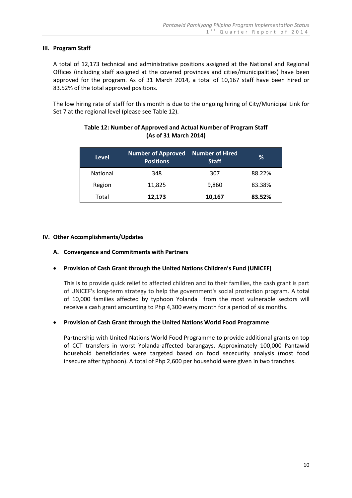#### **III. Program Staff**

A total of 12,173 technical and administrative positions assigned at the National and Regional Offices (including staff assigned at the covered provinces and cities/municipalities) have been approved for the program. As of 31 March 2014, a total of 10,167 staff have been hired or 83.52% of the total approved positions.

The low hiring rate of staff for this month is due to the ongoing hiring of City/Municipal Link for Set 7 at the regional level (please see Table 12).

| <b>Level</b>    | <b>Number of Approved</b><br><b>Positions</b> | Number of Hired<br><b>Staff</b> | %      |
|-----------------|-----------------------------------------------|---------------------------------|--------|
| <b>National</b> | 348                                           | 307                             | 88.22% |
| Region          | 11,825                                        | 9,860                           | 83.38% |
| Total           | 12,173                                        | 10,167                          | 83.52% |

## **Table 12: Number of Approved and Actual Number of Program Staff (As of 31 March 2014)**

## **IV. Other Accomplishments/Updates**

#### **A. Convergence and Commitments with Partners**

## **Provision of Cash Grant through the United Nations Children's Fund (UNICEF)**

This is to provide quick relief to affected children and to their families, the cash grant is part of UNICEF's long-term strategy to help the government's social protection program. A total of 10,000 families affected by typhoon Yolanda from the most vulnerable sectors will receive a cash grant amounting to Php 4,300 every month for a period of six months.

## **Provision of Cash Grant through the United Nations World Food Programme**

Partnership with United Nations World Food Programme to provide additional grants on top of CCT transfers in worst Yolanda-affected barangays. Approximately 100,000 Pantawid household beneficiaries were targeted based on food sececurity analysis (most food insecure after typhoon). A total of Php 2,600 per household were given in two tranches.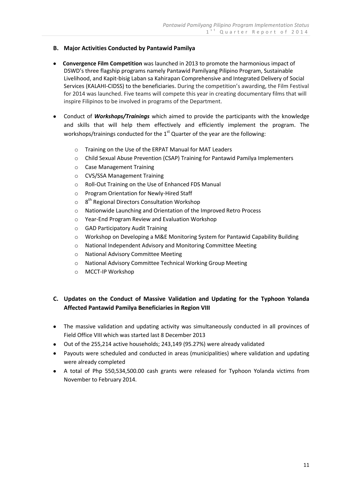#### **B. Major Activities Conducted by Pantawid Pamilya**

- **Convergence Film Competition** was launched in 2013 to promote the harmonious impact of DSWD's three flagship programs namely Pantawid Pamilyang Pilipino Program, Sustainable Livelihood, and Kapit-bisig Laban sa Kahirapan Comprehensive and Integrated Delivery of Social Services (KALAHI-CIDSS) to the beneficiaries. During the competition's awarding, the Film Festival for 2014 was launched. Five teams will compete this year in creating documentary films that will inspire Filipinos to be involved in programs of the Department.
- Conduct of *Workshops/Trainings* which aimed to provide the participants with the knowledge and skills that will help them effectively and efficiently implement the program. The workshops/trainings conducted for the  $1<sup>st</sup>$  Quarter of the year are the following:
	- o Training on the Use of the ERPAT Manual for MAT Leaders
	- o Child Sexual Abuse Prevention (CSAP) Training for Pantawid Pamilya Implementers
	- o Case Management Training
	- o CVS/SSA Management Training
	- o Roll-Out Training on the Use of Enhanced FDS Manual
	- o Program Orientation for Newly-Hired Staff
	- $\circ$ 8<sup>th</sup> Regional Directors Consultation Workshop
	- o Nationwide Launching and Orientation of the Improved Retro Process
	- o Year-End Program Review and Evaluation Workshop
	- o GAD Participatory Audit Training
	- o Workshop on Developing a M&E Monitoring System for Pantawid Capability Building
	- o National Independent Advisory and Monitoring Committee Meeting
	- o National Advisory Committee Meeting
	- o National Advisory Committee Technical Working Group Meeting
	- o MCCT-IP Workshop

# **C. Updates on the Conduct of Massive Validation and Updating for the Typhoon Yolanda Affected Pantawid Pamilya Beneficiaries in Region VIII**

- The massive validation and updating activity was simultaneously conducted in all provinces of Field Office VIII which was started last 8 December 2013
- Out of the 255,214 active households; 243,149 (95.27%) were already validated
- Payouts were scheduled and conducted in areas (municipalities) where validation and updating were already completed
- A total of Php 550,534,500.00 cash grants were released for Typhoon Yolanda victims from November to February 2014.